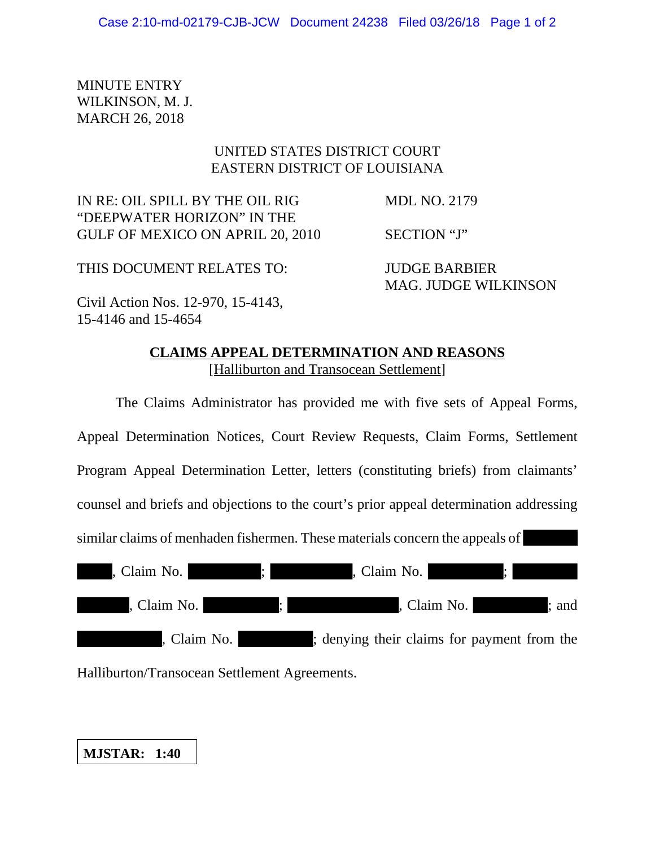MINUTE ENTRY WILKINSON, M. J. MARCH 26, 2018

## UNITED STATES DISTRICT COURT EASTERN DISTRICT OF LOUISIANA

IN RE: OIL SPILL BY THE OIL RIG MDL NO. 2179 "DEEPWATER HORIZON" IN THE GULF OF MEXICO ON APRIL 20, 2010 SECTION "J"

THIS DOCUMENT RELATES TO: JUDGE BARBIER

MAG. JUDGE WILKINSON

Civil Action Nos. 12-970, 15-4143, 15-4146 and 15-4654

## **CLAIMS APPEAL DETERMINATION AND REASONS** [Halliburton and Transocean Settlement]

The Claims Administrator has provided me with five sets of Appeal Forms, Appeal Determination Notices, Court Review Requests, Claim Forms, Settlement Program Appeal Determination Letter, letters (constituting briefs) from claimants' counsel and briefs and objections to the court's prior appeal determination addressing similar claims of menhaden fishermen. These materials concern the appeals of

| , Claim No.        | $\mathbf{.}$ | , Claim No.                                 |       |
|--------------------|--------------|---------------------------------------------|-------|
| E T<br>, Claim No. |              | , Claim No.                                 | ; and |
| , Claim No.        |              | ; denying their claims for payment from the |       |

Halliburton/Transocean Settlement Agreements.

**MJSTAR: 1:40**